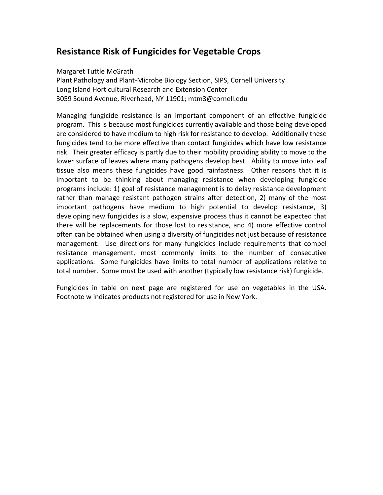## **Resistance Risk of Fungicides for Vegetable Crops**

## Margaret Tuttle McGrath

Plant Pathology and Plant-Microbe Biology Section, SIPS, Cornell University Long Island Horticultural Research and Extension Center 3059 Sound Avenue, Riverhead, NY 11901; mtm3@cornell.edu

Managing fungicide resistance is an important component of an effective fungicide program. This is because most fungicides currently available and those being developed are considered to have medium to high risk for resistance to develop. Additionally these fungicides tend to be more effective than contact fungicides which have low resistance risk. Their greater efficacy is partly due to their mobility providing ability to move to the lower surface of leaves where many pathogens develop best. Ability to move into leaf tissue also means these fungicides have good rainfastness. Other reasons that it is important to be thinking about managing resistance when developing fungicide programs include: 1) goal of resistance management is to delay resistance development rather than manage resistant pathogen strains after detection, 2) many of the most important pathogens have medium to high potential to develop resistance, 3) developing new fungicides is a slow, expensive process thus it cannot be expected that there will be replacements for those lost to resistance, and 4) more effective control often can be obtained when using a diversity of fungicides not just because of resistance management. Use directions for many fungicides include requirements that compel resistance management, most commonly limits to the number of consecutive applications. Some fungicides have limits to total number of applications relative to total number. Some must be used with another (typically low resistance risk) fungicide.

Fungicides in table on next page are registered for use on vegetables in the USA. Footnote w indicates products not registered for use in New York.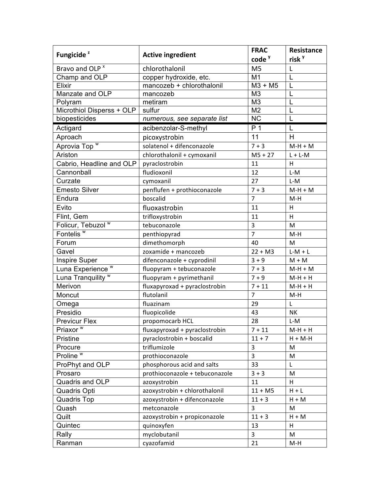| Fungicide <sup>2</sup>        | <b>Active ingredient</b>       | <b>FRAC</b>       | <b>Resistance</b> |
|-------------------------------|--------------------------------|-------------------|-------------------|
|                               |                                | code <sup>y</sup> | risk <sup>y</sup> |
| Bravo and OLP <sup>x</sup>    | chlorothalonil                 | M <sub>5</sub>    | L                 |
| Champ and OLP                 | copper hydroxide, etc.         | M <sub>1</sub>    |                   |
| Elixir                        | mancozeb + chlorothalonil      | $M3 + M5$         | L                 |
| Manzate and OLP               | mancozeb                       | M <sub>3</sub>    |                   |
| Polyram                       | metiram                        | M <sub>3</sub>    |                   |
| Microthiol Disperss + OLP     | sulfur                         | M <sub>2</sub>    | L                 |
| biopesticides                 | numerous, see separate list    | <b>NC</b>         | L                 |
| Actigard                      | acibenzolar-S-methyl           | P <sub>1</sub>    | L                 |
| Aproach                       | picoxystrobin                  | 11                | H                 |
| Aprovia Top W                 | solatenol + difenconazole      | $7 + 3$           | $M-H+M$           |
| Ariston                       | chlorothalonil + cymoxanil     | $M5 + 27$         | $L + L - M$       |
| Cabrio, Headline and OLP      | pyraclostrobin                 | 11                | Н                 |
| Cannonball                    | fludioxonil                    | 12                | $L-M$             |
| Curzate                       | cymoxanil                      | 27                | L-M               |
| <b>Emesto Silver</b>          | penflufen + prothioconazole    | $7 + 3$           | $M-H+M$           |
| Endura                        | boscalid                       | 7                 | M-H               |
| Evito                         | fluoxastrobin                  | 11                | H.                |
| Flint, Gem                    | trifloxystrobin                | 11                | H                 |
| Folicur, Tebuzol W            | tebuconazole                   | 3                 | M                 |
| Fontelis <sup>w</sup>         | penthiopyrad                   | $\overline{7}$    | M-H               |
| Forum                         | dimethomorph                   | 40                | M                 |
| Gavel                         | zoxamide + mancozeb            | $22 + M3$         | $L-M+L$           |
| Inspire Super                 | difenconazole + cyprodinil     | $3 + 9$           | $M + M$           |
| Luna Experience <sup>w</sup>  | fluopyram + tebuconazole       | $7 + 3$           | $M-H+M$           |
| Luna Tranquility <sup>W</sup> | fluopyram + pyrimethanil       | $7 + 9$           | $M-H+H$           |
| Merivon                       | fluxapyroxad + pyraclostrobin  | $7 + 11$          | $M-H+H$           |
| Moncut                        | flutolanil                     | $\overline{7}$    | $M-H$             |
| Omega                         | fluazinam                      | 29                | L                 |
| Presidio                      | fluopicolide                   | 43                | NΚ                |
| <b>Previcur Flex</b>          | propomocarb HCL                | 28                | L-M               |
| Priaxor <sup>w</sup>          | fluxapyroxad + pyraclostrobin  | $7 + 11$          | $M-H+H$           |
| Pristine                      | pyraclostrobin + boscalid      | $11 + 7$          | $H + M - H$       |
| Procure                       | triflumizole                   | 3                 | М                 |
| Proline $\overline{w}$        | prothioconazole                | $\overline{3}$    | M                 |
| ProPhyt and OLP               | phosphorous acid and salts     | 33                | L                 |
| Prosaro                       | prothioconazole + tebuconazole | $3 + 3$           | M                 |
| Quadris and OLP               | azoxystrobin                   | 11                | Н                 |
| Quadris Opti                  | azoxystrobin + chlorothalonil  | $11 + M5$         | $H + L$           |
| <b>Quadris Top</b>            | azoxystrobin + difenconazole   | $11 + 3$          | $H + M$           |
| Quash                         | metconazole                    | 3                 | М                 |
| Quilt                         | azoxystrobin + propiconazole   | $11 + 3$          | $H + M$           |
| Quintec                       | quinoxyfen                     | 13                | н                 |
| Rally                         | myclobutanil                   | $\overline{3}$    | M                 |
| Ranman                        | cyazofamid                     | 21                | M-H               |